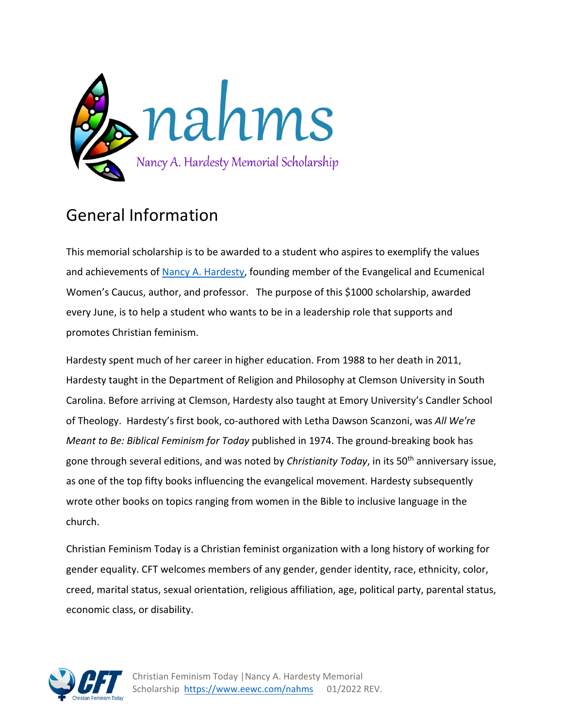

# General Information

This memorial scholarship is to be awarded to a student who aspires to exemplify the values and achievements of Nancy A. Hardesty, founding member of the Evangelical and Ecumenical Women's Caucus, author, and professor. The purpose of this \$1000 scholarship, awarded every June, is to help a student who wants to be in a leadership role that supports and promotes Christian feminism.

Hardesty spent much of her career in higher education. From 1988 to her death in 2011, Hardesty taught in the Department of Religion and Philosophy at Clemson University in South Carolina. Before arriving at Clemson, Hardesty also taught at Emory University's Candler School of Theology. Hardesty's first book, co‐authored with Letha Dawson Scanzoni, was *All We're Meant to Be: Biblical Feminism for Today* published in 1974. The ground‐breaking book has gone through several editions, and was noted by *Christianity Today*, in its 50th anniversary issue, as one of the top fifty books influencing the evangelical movement. Hardesty subsequently wrote other books on topics ranging from women in the Bible to inclusive language in the church.

Christian Feminism Today is a Christian feminist organization with a long history of working for gender equality. CFT welcomes members of any gender, gender identity, race, ethnicity, color, creed, marital status, sexual orientation, religious affiliation, age, political party, parental status, economic class, or disability.

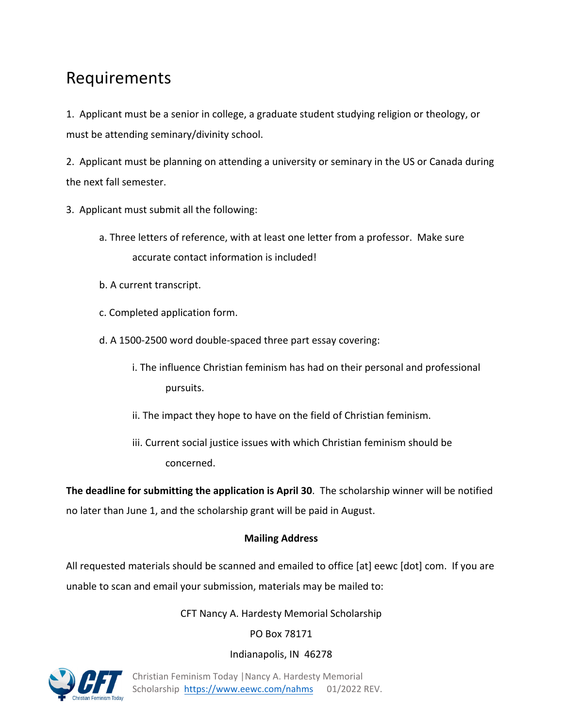# Requirements

1. Applicant must be a senior in college, a graduate student studying religion or theology, or must be attending seminary/divinity school.

2. Applicant must be planning on attending a university or seminary in the US or Canada during the next fall semester.

3. Applicant must submit all the following:

- a. Three letters of reference, with at least one letter from a professor. Make sure accurate contact information is included!
- b. A current transcript.
- c. Completed application form.
- d. A 1500‐2500 word double‐spaced three part essay covering:
	- i. The influence Christian feminism has had on their personal and professional pursuits.
	- ii. The impact they hope to have on the field of Christian feminism.
	- iii. Current social justice issues with which Christian feminism should be concerned.

**The deadline for submitting the application is April 30**. The scholarship winner will be notified no later than June 1, and the scholarship grant will be paid in August.

### **Mailing Address**

All requested materials should be scanned and emailed to office [at] eewc [dot] com. If you are unable to scan and email your submission, materials may be mailed to:

#### CFT Nancy A. Hardesty Memorial Scholarship

#### PO Box 78171

#### Indianapolis, IN 46278

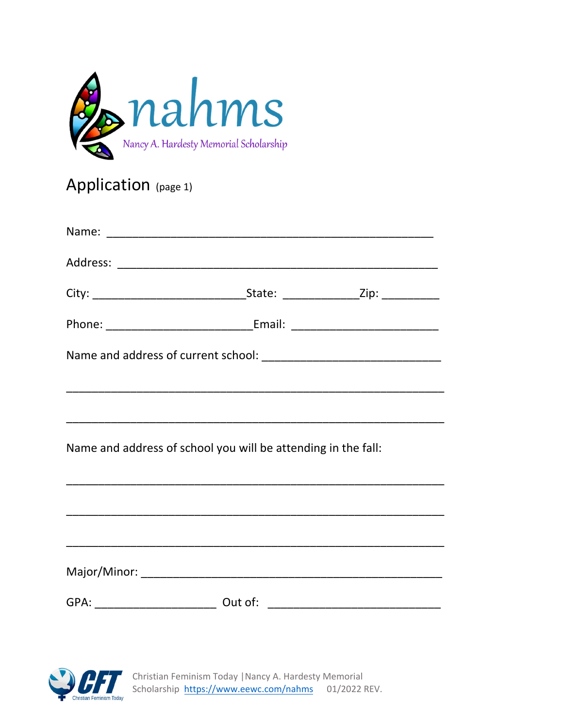

# Application (page 1)

| Name and address of school you will be attending in the fall: |  |
|---------------------------------------------------------------|--|
|                                                               |  |
|                                                               |  |
|                                                               |  |
|                                                               |  |
|                                                               |  |